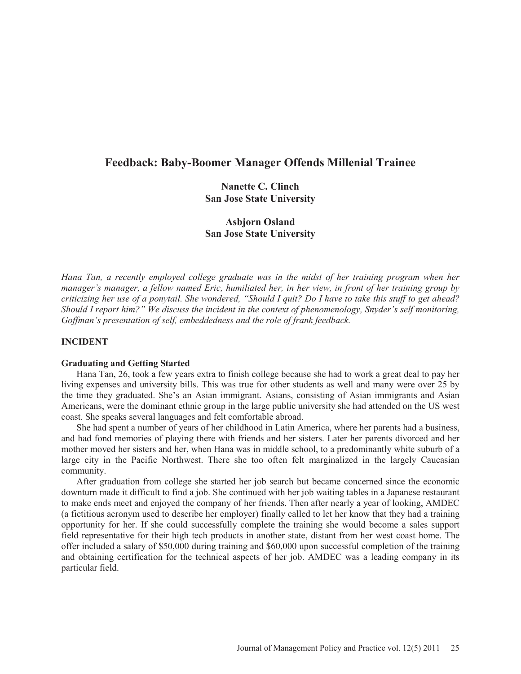# **Feedback: Baby-Boomer Manager Offends Millenial Trainee**

# **Nanette C. Clinch San Jose State University**

# **Asbjorn Osland San Jose State University**

*Hana Tan, a recently employed college graduate was in the midst of her training program when her manager's manager, a fellow named Eric, humiliated her, in her view, in front of her training group by criticizing her use of a ponytail. She wondered, "Should I quit? Do I have to take this stuff to get ahead? Should I report him?" We discuss the incident in the context of phenomenology, Snyder's self monitoring, Goffman's presentation of self, embeddedness and the role of frank feedback.* 

## **INCIDENT**

### **Graduating and Getting Started**

Hana Tan, 26, took a few years extra to finish college because she had to work a great deal to pay her living expenses and university bills. This was true for other students as well and many were over 25 by the time they graduated. She's an Asian immigrant. Asians, consisting of Asian immigrants and Asian Americans, were the dominant ethnic group in the large public university she had attended on the US west coast. She speaks several languages and felt comfortable abroad.

She had spent a number of years of her childhood in Latin America, where her parents had a business, and had fond memories of playing there with friends and her sisters. Later her parents divorced and her mother moved her sisters and her, when Hana was in middle school, to a predominantly white suburb of a large city in the Pacific Northwest. There she too often felt marginalized in the largely Caucasian community.

After graduation from college she started her job search but became concerned since the economic downturn made it difficult to find a job. She continued with her job waiting tables in a Japanese restaurant to make ends meet and enjoyed the company of her friends. Then after nearly a year of looking, AMDEC (a fictitious acronym used to describe her employer) finally called to let her know that they had a training opportunity for her. If she could successfully complete the training she would become a sales support field representative for their high tech products in another state, distant from her west coast home. The offer included a salary of \$50,000 during training and \$60,000 upon successful completion of the training and obtaining certification for the technical aspects of her job. AMDEC was a leading company in its particular field.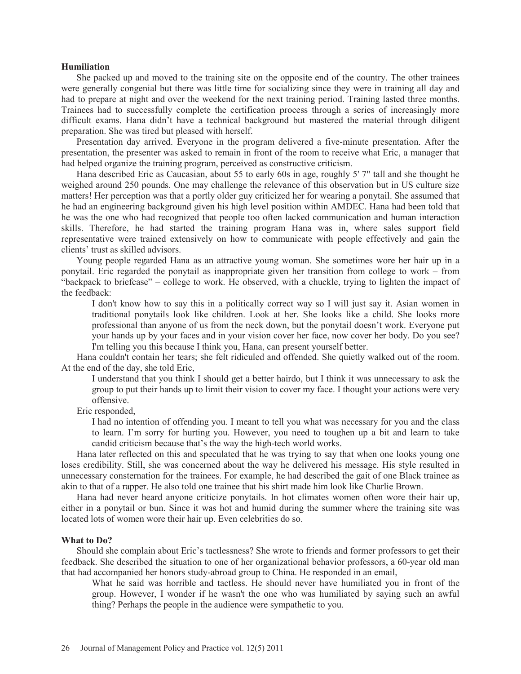#### **Humiliation**

She packed up and moved to the training site on the opposite end of the country. The other trainees were generally congenial but there was little time for socializing since they were in training all day and had to prepare at night and over the weekend for the next training period. Training lasted three months. Trainees had to successfully complete the certification process through a series of increasingly more difficult exams. Hana didn't have a technical background but mastered the material through diligent preparation. She was tired but pleased with herself.

Presentation day arrived. Everyone in the program delivered a five-minute presentation. After the presentation, the presenter was asked to remain in front of the room to receive what Eric, a manager that had helped organize the training program, perceived as constructive criticism.

Hana described Eric as Caucasian, about 55 to early 60s in age, roughly 5' 7" tall and she thought he weighed around 250 pounds. One may challenge the relevance of this observation but in US culture size matters! Her perception was that a portly older guy criticized her for wearing a ponytail. She assumed that he had an engineering background given his high level position within AMDEC. Hana had been told that he was the one who had recognized that people too often lacked communication and human interaction skills. Therefore, he had started the training program Hana was in, where sales support field representative were trained extensively on how to communicate with people effectively and gain the clients' trust as skilled advisors.

Young people regarded Hana as an attractive young woman. She sometimes wore her hair up in a ponytail. Eric regarded the ponytail as inappropriate given her transition from college to work – from "backpack to briefcase" – college to work. He observed, with a chuckle, trying to lighten the impact of the feedback:

I don't know how to say this in a politically correct way so I will just say it. Asian women in traditional ponytails look like children. Look at her. She looks like a child. She looks more professional than anyone of us from the neck down, but the ponytail doesn't work. Everyone put your hands up by your faces and in your vision cover her face, now cover her body. Do you see? I'm telling you this because I think you, Hana, can present yourself better.

Hana couldn't contain her tears; she felt ridiculed and offended. She quietly walked out of the room. At the end of the day, she told Eric,

I understand that you think I should get a better hairdo, but I think it was unnecessary to ask the group to put their hands up to limit their vision to cover my face. I thought your actions were very offensive.

Eric responded,

I had no intention of offending you. I meant to tell you what was necessary for you and the class to learn. I'm sorry for hurting you. However, you need to toughen up a bit and learn to take candid criticism because that's the way the high-tech world works.

Hana later reflected on this and speculated that he was trying to say that when one looks young one loses credibility. Still, she was concerned about the way he delivered his message. His style resulted in unnecessary consternation for the trainees. For example, he had described the gait of one Black trainee as akin to that of a rapper. He also told one trainee that his shirt made him look like Charlie Brown.

Hana had never heard anyone criticize ponytails. In hot climates women often wore their hair up, either in a ponytail or bun. Since it was hot and humid during the summer where the training site was located lots of women wore their hair up. Even celebrities do so.

#### **What to Do?**

Should she complain about Eric's tactlessness? She wrote to friends and former professors to get their feedback. She described the situation to one of her organizational behavior professors, a 60-year old man that had accompanied her honors study-abroad group to China. He responded in an email,

What he said was horrible and tactless. He should never have humiliated you in front of the group. However, I wonder if he wasn't the one who was humiliated by saying such an awful thing? Perhaps the people in the audience were sympathetic to you.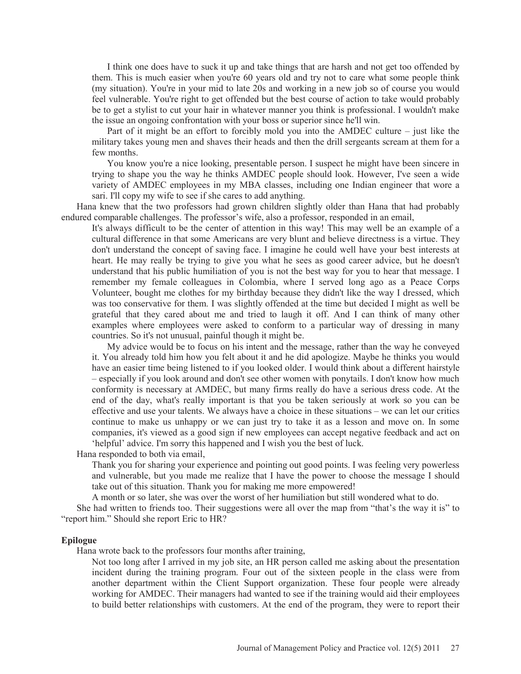I think one does have to suck it up and take things that are harsh and not get too offended by them. This is much easier when you're 60 years old and try not to care what some people think (my situation). You're in your mid to late 20s and working in a new job so of course you would feel vulnerable. You're right to get offended but the best course of action to take would probably be to get a stylist to cut your hair in whatever manner you think is professional. I wouldn't make the issue an ongoing confrontation with your boss or superior since he'll win.

Part of it might be an effort to forcibly mold you into the AMDEC culture – just like the military takes young men and shaves their heads and then the drill sergeants scream at them for a few months.

You know you're a nice looking, presentable person. I suspect he might have been sincere in trying to shape you the way he thinks AMDEC people should look. However, I've seen a wide variety of AMDEC employees in my MBA classes, including one Indian engineer that wore a sari. I'll copy my wife to see if she cares to add anything.

Hana knew that the two professors had grown children slightly older than Hana that had probably endured comparable challenges. The professor's wife, also a professor, responded in an email,

It's always difficult to be the center of attention in this way! This may well be an example of a cultural difference in that some Americans are very blunt and believe directness is a virtue. They don't understand the concept of saving face. I imagine he could well have your best interests at heart. He may really be trying to give you what he sees as good career advice, but he doesn't understand that his public humiliation of you is not the best way for you to hear that message. I remember my female colleagues in Colombia, where I served long ago as a Peace Corps Volunteer, bought me clothes for my birthday because they didn't like the way I dressed, which was too conservative for them. I was slightly offended at the time but decided I might as well be grateful that they cared about me and tried to laugh it off. And I can think of many other examples where employees were asked to conform to a particular way of dressing in many countries. So it's not unusual, painful though it might be.

My advice would be to focus on his intent and the message, rather than the way he conveyed it. You already told him how you felt about it and he did apologize. Maybe he thinks you would have an easier time being listened to if you looked older. I would think about a different hairstyle – especially if you look around and don't see other women with ponytails. I don't know how much conformity is necessary at AMDEC, but many firms really do have a serious dress code. At the end of the day, what's really important is that you be taken seriously at work so you can be effective and use your talents. We always have a choice in these situations – we can let our critics continue to make us unhappy or we can just try to take it as a lesson and move on. In some companies, it's viewed as a good sign if new employees can accept negative feedback and act on 'helpful' advice. I'm sorry this happened and I wish you the best of luck.

Hana responded to both via email,

Thank you for sharing your experience and pointing out good points. I was feeling very powerless and vulnerable, but you made me realize that I have the power to choose the message I should take out of this situation. Thank you for making me more empowered!

A month or so later, she was over the worst of her humiliation but still wondered what to do.

She had written to friends too. Their suggestions were all over the map from "that's the way it is" to "report him." Should she report Eric to HR?

#### **Epilogue**

Hana wrote back to the professors four months after training,

Not too long after I arrived in my job site, an HR person called me asking about the presentation incident during the training program. Four out of the sixteen people in the class were from another department within the Client Support organization. These four people were already working for AMDEC. Their managers had wanted to see if the training would aid their employees to build better relationships with customers. At the end of the program, they were to report their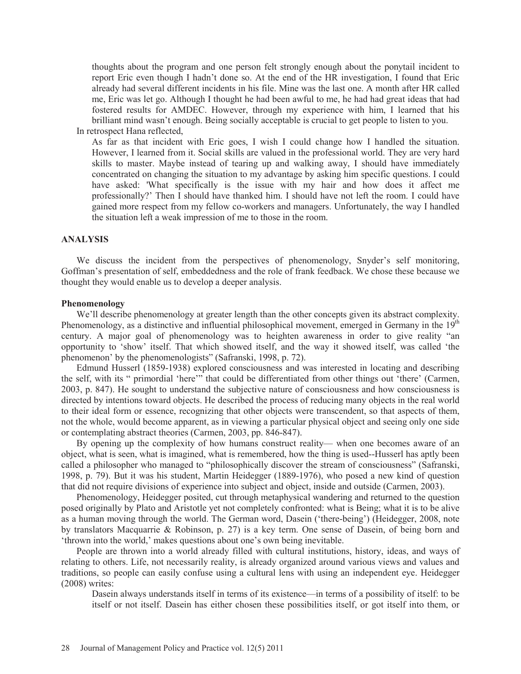thoughts about the program and one person felt strongly enough about the ponytail incident to report Eric even though I hadn't done so. At the end of the HR investigation, I found that Eric already had several different incidents in his file. Mine was the last one. A month after HR called me, Eric was let go. Although I thought he had been awful to me, he had had great ideas that had fostered results for AMDEC. However, through my experience with him, I learned that his brilliant mind wasn't enough. Being socially acceptable is crucial to get people to listen to you.

In retrospect Hana reflected,

As far as that incident with Eric goes, I wish I could change how I handled the situation. However, I learned from it. Social skills are valued in the professional world. They are very hard skills to master. Maybe instead of tearing up and walking away, I should have immediately concentrated on changing the situation to my advantage by asking him specific questions. I could have asked: 'What specifically is the issue with my hair and how does it affect me professionally?' Then I should have thanked him. I should have not left the room. I could have gained more respect from my fellow co-workers and managers. Unfortunately, the way I handled the situation left a weak impression of me to those in the room.

## **ANALYSIS**

We discuss the incident from the perspectives of phenomenology, Snyder's self monitoring, Goffman's presentation of self, embeddedness and the role of frank feedback. We chose these because we thought they would enable us to develop a deeper analysis.

#### **Phenomenology**

We'll describe phenomenology at greater length than the other concepts given its abstract complexity. Phenomenology, as a distinctive and influential philosophical movement, emerged in Germany in the  $19<sup>th</sup>$ century. A major goal of phenomenology was to heighten awareness in order to give reality "an opportunity to 'show' itself. That which showed itself, and the way it showed itself, was called 'the phenomenon' by the phenomenologists" (Safranski, 1998, p. 72).

Edmund Husserl (1859-1938) explored consciousness and was interested in locating and describing the self, with its " primordial 'here'" that could be differentiated from other things out 'there' (Carmen, 2003, p. 847). He sought to understand the subjective nature of consciousness and how consciousness is directed by intentions toward objects. He described the process of reducing many objects in the real world to their ideal form or essence, recognizing that other objects were transcendent, so that aspects of them, not the whole, would become apparent, as in viewing a particular physical object and seeing only one side or contemplating abstract theories (Carmen, 2003, pp. 846-847).

By opening up the complexity of how humans construct reality— when one becomes aware of an object, what is seen, what is imagined, what is remembered, how the thing is used--Husserl has aptly been called a philosopher who managed to "philosophically discover the stream of consciousness" (Safranski, 1998, p. 79). But it was his student, Martin Heidegger (1889-1976), who posed a new kind of question that did not require divisions of experience into subject and object, inside and outside (Carmen, 2003).

Phenomenology, Heidegger posited, cut through metaphysical wandering and returned to the question posed originally by Plato and Aristotle yet not completely confronted: what is Being; what it is to be alive as a human moving through the world. The German word, Dasein ('there-being') (Heidegger, 2008, note by translators Macquarrie & Robinson, p. 27) is a key term. One sense of Dasein, of being born and 'thrown into the world,' makes questions about one's own being inevitable.

People are thrown into a world already filled with cultural institutions, history, ideas, and ways of relating to others. Life, not necessarily reality, is already organized around various views and values and traditions, so people can easily confuse using a cultural lens with using an independent eye. Heidegger (2008) writes:

Dasein always understands itself in terms of its existence—in terms of a possibility of itself: to be itself or not itself. Dasein has either chosen these possibilities itself, or got itself into them, or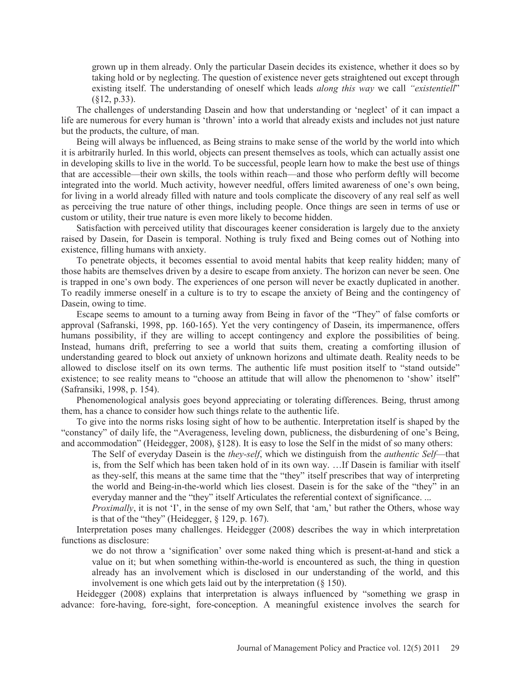grown up in them already. Only the particular Dasein decides its existence, whether it does so by taking hold or by neglecting. The question of existence never gets straightened out except through existing itself. The understanding of oneself which leads *along this way* we call *"existentiell*" (§12, p.33).

The challenges of understanding Dasein and how that understanding or 'neglect' of it can impact a life are numerous for every human is 'thrown' into a world that already exists and includes not just nature but the products, the culture, of man.

Being will always be influenced, as Being strains to make sense of the world by the world into which it is arbitrarily hurled. In this world, objects can present themselves as tools, which can actually assist one in developing skills to live in the world. To be successful, people learn how to make the best use of things that are accessible—their own skills, the tools within reach—and those who perform deftly will become integrated into the world. Much activity, however needful, offers limited awareness of one's own being, for living in a world already filled with nature and tools complicate the discovery of any real self as well as perceiving the true nature of other things, including people. Once things are seen in terms of use or custom or utility, their true nature is even more likely to become hidden.

Satisfaction with perceived utility that discourages keener consideration is largely due to the anxiety raised by Dasein, for Dasein is temporal. Nothing is truly fixed and Being comes out of Nothing into existence, filling humans with anxiety.

To penetrate objects, it becomes essential to avoid mental habits that keep reality hidden; many of those habits are themselves driven by a desire to escape from anxiety. The horizon can never be seen. One is trapped in one's own body. The experiences of one person will never be exactly duplicated in another. To readily immerse oneself in a culture is to try to escape the anxiety of Being and the contingency of Dasein, owing to time.

Escape seems to amount to a turning away from Being in favor of the "They" of false comforts or approval (Safranski, 1998, pp. 160-165). Yet the very contingency of Dasein, its impermanence, offers humans possibility, if they are willing to accept contingency and explore the possibilities of being. Instead, humans drift, preferring to see a world that suits them, creating a comforting illusion of understanding geared to block out anxiety of unknown horizons and ultimate death. Reality needs to be allowed to disclose itself on its own terms. The authentic life must position itself to "stand outside" existence; to see reality means to "choose an attitude that will allow the phenomenon to 'show' itself" (Safransiki, 1998, p. 154).

Phenomenological analysis goes beyond appreciating or tolerating differences. Being, thrust among them, has a chance to consider how such things relate to the authentic life.

To give into the norms risks losing sight of how to be authentic. Interpretation itself is shaped by the "constancy" of daily life, the "Averageness, leveling down, publicness, the disburdening of one's Being, and accommodation" (Heidegger, 2008), §128). It is easy to lose the Self in the midst of so many others:

The Self of everyday Dasein is the *they-self*, which we distinguish from the *authentic Self*—that is, from the Self which has been taken hold of in its own way. …If Dasein is familiar with itself as they-self, this means at the same time that the "they" itself prescribes that way of interpreting the world and Being-in-the-world which lies closest. Dasein is for the sake of the "they" in an everyday manner and the "they" itself Articulates the referential context of significance. ...

*Proximally*, it is not 'I', in the sense of my own Self, that 'am,' but rather the Others, whose way is that of the "they" (Heidegger,  $\S$  129, p. 167).

Interpretation poses many challenges. Heidegger (2008) describes the way in which interpretation functions as disclosure:

we do not throw a 'signification' over some naked thing which is present-at-hand and stick a value on it; but when something within-the-world is encountered as such, the thing in question already has an involvement which is disclosed in our understanding of the world, and this involvement is one which gets laid out by the interpretation (§ 150).

Heidegger (2008) explains that interpretation is always influenced by "something we grasp in advance: fore-having, fore-sight, fore-conception. A meaningful existence involves the search for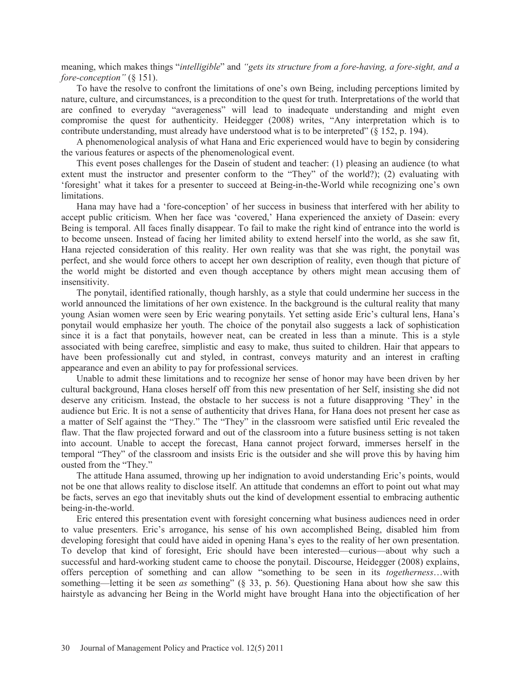meaning, which makes things "*intelligible*" and *"gets its structure from a fore-having, a fore-sight, and a fore-conception"* (§ 151).

To have the resolve to confront the limitations of one's own Being, including perceptions limited by nature, culture, and circumstances, is a precondition to the quest for truth. Interpretations of the world that are confined to everyday "averageness" will lead to inadequate understanding and might even compromise the quest for authenticity. Heidegger (2008) writes, "Any interpretation which is to contribute understanding, must already have understood what is to be interpreted" (§ 152, p. 194).

A phenomenological analysis of what Hana and Eric experienced would have to begin by considering the various features or aspects of the phenomenological event.

This event poses challenges for the Dasein of student and teacher: (1) pleasing an audience (to what extent must the instructor and presenter conform to the "They" of the world?); (2) evaluating with 'foresight' what it takes for a presenter to succeed at Being-in-the-World while recognizing one's own limitations.

Hana may have had a 'fore-conception' of her success in business that interfered with her ability to accept public criticism. When her face was 'covered,' Hana experienced the anxiety of Dasein: every Being is temporal. All faces finally disappear. To fail to make the right kind of entrance into the world is to become unseen. Instead of facing her limited ability to extend herself into the world, as she saw fit, Hana rejected consideration of this reality. Her own reality was that she was right, the ponytail was perfect, and she would force others to accept her own description of reality, even though that picture of the world might be distorted and even though acceptance by others might mean accusing them of insensitivity.

The ponytail, identified rationally, though harshly, as a style that could undermine her success in the world announced the limitations of her own existence. In the background is the cultural reality that many young Asian women were seen by Eric wearing ponytails. Yet setting aside Eric's cultural lens, Hana's ponytail would emphasize her youth. The choice of the ponytail also suggests a lack of sophistication since it is a fact that ponytails, however neat, can be created in less than a minute. This is a style associated with being carefree, simplistic and easy to make, thus suited to children. Hair that appears to have been professionally cut and styled, in contrast, conveys maturity and an interest in crafting appearance and even an ability to pay for professional services.

Unable to admit these limitations and to recognize her sense of honor may have been driven by her cultural background, Hana closes herself off from this new presentation of her Self, insisting she did not deserve any criticism. Instead, the obstacle to her success is not a future disapproving 'They' in the audience but Eric. It is not a sense of authenticity that drives Hana, for Hana does not present her case as a matter of Self against the "They." The "They" in the classroom were satisfied until Eric revealed the flaw. That the flaw projected forward and out of the classroom into a future business setting is not taken into account. Unable to accept the forecast, Hana cannot project forward, immerses herself in the temporal "They" of the classroom and insists Eric is the outsider and she will prove this by having him ousted from the "They."

The attitude Hana assumed, throwing up her indignation to avoid understanding Eric's points, would not be one that allows reality to disclose itself. An attitude that condemns an effort to point out what may be facts, serves an ego that inevitably shuts out the kind of development essential to embracing authentic being-in-the-world.

Eric entered this presentation event with foresight concerning what business audiences need in order to value presenters. Eric's arrogance, his sense of his own accomplished Being, disabled him from developing foresight that could have aided in opening Hana's eyes to the reality of her own presentation. To develop that kind of foresight, Eric should have been interested—curious—about why such a successful and hard-working student came to choose the ponytail. Discourse, Heidegger (2008) explains, offers perception of something and can allow "something to be seen in its *togetherness*…with something—letting it be seen *as* something" (§ 33, p. 56). Questioning Hana about how she saw this hairstyle as advancing her Being in the World might have brought Hana into the objectification of her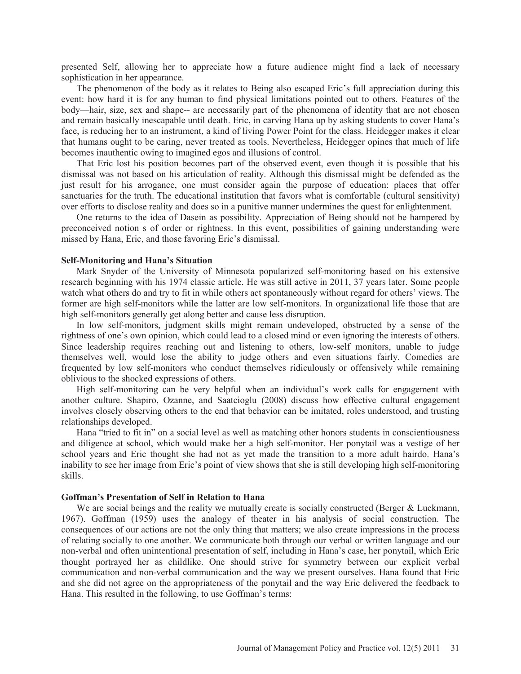presented Self, allowing her to appreciate how a future audience might find a lack of necessary sophistication in her appearance.

The phenomenon of the body as it relates to Being also escaped Eric's full appreciation during this event: how hard it is for any human to find physical limitations pointed out to others. Features of the body—hair, size, sex and shape-- are necessarily part of the phenomena of identity that are not chosen and remain basically inescapable until death. Eric, in carving Hana up by asking students to cover Hana's face, is reducing her to an instrument, a kind of living Power Point for the class. Heidegger makes it clear that humans ought to be caring, never treated as tools. Nevertheless, Heidegger opines that much of life becomes inauthentic owing to imagined egos and illusions of control.

That Eric lost his position becomes part of the observed event, even though it is possible that his dismissal was not based on his articulation of reality. Although this dismissal might be defended as the just result for his arrogance, one must consider again the purpose of education: places that offer sanctuaries for the truth. The educational institution that favors what is comfortable (cultural sensitivity) over efforts to disclose reality and does so in a punitive manner undermines the quest for enlightenment.

One returns to the idea of Dasein as possibility. Appreciation of Being should not be hampered by preconceived notion s of order or rightness. In this event, possibilities of gaining understanding were missed by Hana, Eric, and those favoring Eric's dismissal.

#### **Self-Monitoring and Hana's Situation**

Mark Snyder of the University of Minnesota popularized self-monitoring based on his extensive research beginning with his 1974 classic article. He was still active in 2011, 37 years later. Some people watch what others do and try to fit in while others act spontaneously without regard for others' views. The former are high self-monitors while the latter are low self-monitors. In organizational life those that are high self-monitors generally get along better and cause less disruption.

In low self-monitors, judgment skills might remain undeveloped, obstructed by a sense of the rightness of one's own opinion, which could lead to a closed mind or even ignoring the interests of others. Since leadership requires reaching out and listening to others, low-self monitors, unable to judge themselves well, would lose the ability to judge others and even situations fairly. Comedies are frequented by low self-monitors who conduct themselves ridiculously or offensively while remaining oblivious to the shocked expressions of others.

High self-monitoring can be very helpful when an individual's work calls for engagement with another culture. Shapiro, Ozanne, and Saatcioglu (2008) discuss how effective cultural engagement involves closely observing others to the end that behavior can be imitated, roles understood, and trusting relationships developed.

Hana "tried to fit in" on a social level as well as matching other honors students in conscientiousness and diligence at school, which would make her a high self-monitor. Her ponytail was a vestige of her school years and Eric thought she had not as yet made the transition to a more adult hairdo. Hana's inability to see her image from Eric's point of view shows that she is still developing high self-monitoring skills.

## **Goffman's Presentation of Self in Relation to Hana**

We are social beings and the reality we mutually create is socially constructed (Berger & Luckmann, 1967). Goffman (1959) uses the analogy of theater in his analysis of social construction. The consequences of our actions are not the only thing that matters; we also create impressions in the process of relating socially to one another. We communicate both through our verbal or written language and our non-verbal and often unintentional presentation of self, including in Hana's case, her ponytail, which Eric thought portrayed her as childlike. One should strive for symmetry between our explicit verbal communication and non-verbal communication and the way we present ourselves. Hana found that Eric and she did not agree on the appropriateness of the ponytail and the way Eric delivered the feedback to Hana. This resulted in the following, to use Goffman's terms: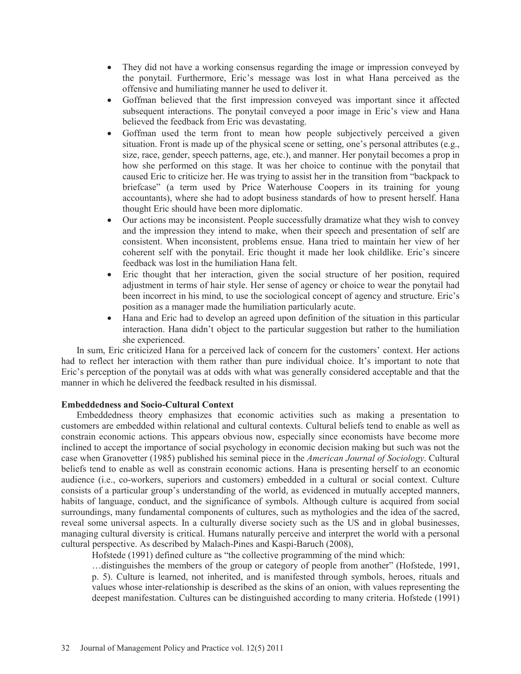- They did not have a working consensus regarding the image or impression conveyed by the ponytail. Furthermore, Eric's message was lost in what Hana perceived as the offensive and humiliating manner he used to deliver it.
- Goffman believed that the first impression conveyed was important since it affected subsequent interactions. The ponytail conveyed a poor image in Eric's view and Hana believed the feedback from Eric was devastating.
- Goffman used the term front to mean how people subjectively perceived a given situation. Front is made up of the physical scene or setting, one's personal attributes (e.g., size, race, gender, speech patterns, age, etc.), and manner. Her ponytail becomes a prop in how she performed on this stage. It was her choice to continue with the ponytail that caused Eric to criticize her. He was trying to assist her in the transition from "backpack to briefcase" (a term used by Price Waterhouse Coopers in its training for young accountants), where she had to adopt business standards of how to present herself. Hana thought Eric should have been more diplomatic.
- Our actions may be inconsistent. People successfully dramatize what they wish to convey and the impression they intend to make, when their speech and presentation of self are consistent. When inconsistent, problems ensue. Hana tried to maintain her view of her coherent self with the ponytail. Eric thought it made her look childlike. Eric's sincere feedback was lost in the humiliation Hana felt.
- Eric thought that her interaction, given the social structure of her position, required adjustment in terms of hair style. Her sense of agency or choice to wear the ponytail had been incorrect in his mind, to use the sociological concept of agency and structure. Eric's position as a manager made the humiliation particularly acute.
- Hana and Eric had to develop an agreed upon definition of the situation in this particular interaction. Hana didn't object to the particular suggestion but rather to the humiliation she experienced.

In sum, Eric criticized Hana for a perceived lack of concern for the customers' context. Her actions had to reflect her interaction with them rather than pure individual choice. It's important to note that Eric's perception of the ponytail was at odds with what was generally considered acceptable and that the manner in which he delivered the feedback resulted in his dismissal.

## **Embeddedness and Socio-Cultural Context**

Embeddedness theory emphasizes that economic activities such as making a presentation to customers are embedded within relational and cultural contexts. Cultural beliefs tend to enable as well as constrain economic actions. This appears obvious now, especially since economists have become more inclined to accept the importance of social psychology in economic decision making but such was not the case when Granovetter (1985) published his seminal piece in the *American Journal of Sociology*. Cultural beliefs tend to enable as well as constrain economic actions. Hana is presenting herself to an economic audience (i.e., co-workers, superiors and customers) embedded in a cultural or social context. Culture consists of a particular group's understanding of the world, as evidenced in mutually accepted manners, habits of language, conduct, and the significance of symbols. Although culture is acquired from social surroundings, many fundamental components of cultures, such as mythologies and the idea of the sacred, reveal some universal aspects. In a culturally diverse society such as the US and in global businesses, managing cultural diversity is critical. Humans naturally perceive and interpret the world with a personal cultural perspective. As described by Malach-Pines and Kaspi-Baruch (2008),

Hofstede (1991) defined culture as "the collective programming of the mind which:

…distinguishes the members of the group or category of people from another" (Hofstede, 1991, p. 5). Culture is learned, not inherited, and is manifested through symbols, heroes, rituals and values whose inter-relationship is described as the skins of an onion, with values representing the deepest manifestation. Cultures can be distinguished according to many criteria. Hofstede (1991)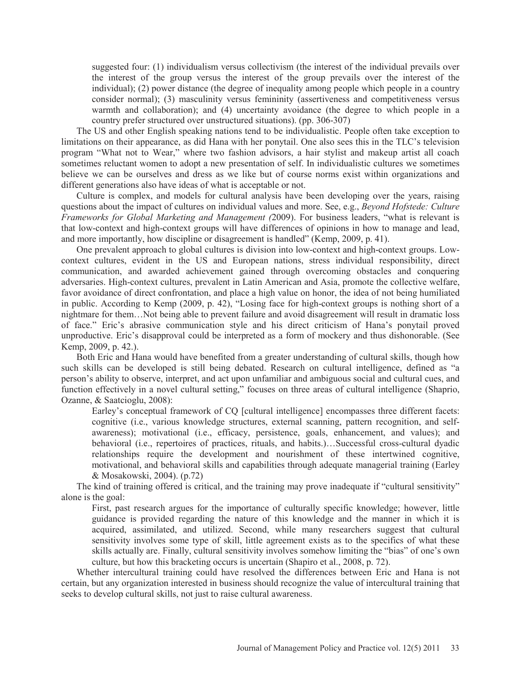suggested four: (1) individualism versus collectivism (the interest of the individual prevails over the interest of the group versus the interest of the group prevails over the interest of the individual); (2) power distance (the degree of inequality among people which people in a country consider normal); (3) masculinity versus femininity (assertiveness and competitiveness versus warmth and collaboration); and (4) uncertainty avoidance (the degree to which people in a country prefer structured over unstructured situations). (pp. 306-307)

The US and other English speaking nations tend to be individualistic. People often take exception to limitations on their appearance, as did Hana with her ponytail. One also sees this in the TLC's television program "What not to Wear," where two fashion advisors, a hair stylist and makeup artist all coach sometimes reluctant women to adopt a new presentation of self. In individualistic cultures we sometimes believe we can be ourselves and dress as we like but of course norms exist within organizations and different generations also have ideas of what is acceptable or not.

Culture is complex, and models for cultural analysis have been developing over the years, raising questions about the impact of cultures on individual values and more. See, e.g., *Beyond Hofstede: Culture Frameworks for Global Marketing and Management (*2009). For business leaders, "what is relevant is that low-context and high-context groups will have differences of opinions in how to manage and lead, and more importantly, how discipline or disagreement is handled" (Kemp, 2009, p. 41).

One prevalent approach to global cultures is division into low-context and high-context groups. Lowcontext cultures, evident in the US and European nations, stress individual responsibility, direct communication, and awarded achievement gained through overcoming obstacles and conquering adversaries. High-context cultures, prevalent in Latin American and Asia, promote the collective welfare, favor avoidance of direct confrontation, and place a high value on honor, the idea of not being humiliated in public. According to Kemp (2009, p. 42), "Losing face for high-context groups is nothing short of a nightmare for them…Not being able to prevent failure and avoid disagreement will result in dramatic loss of face." Eric's abrasive communication style and his direct criticism of Hana's ponytail proved unproductive. Eric's disapproval could be interpreted as a form of mockery and thus dishonorable. (See Kemp, 2009, p. 42.).

Both Eric and Hana would have benefited from a greater understanding of cultural skills, though how such skills can be developed is still being debated. Research on cultural intelligence, defined as "a person's ability to observe, interpret, and act upon unfamiliar and ambiguous social and cultural cues, and function effectively in a novel cultural setting," focuses on three areas of cultural intelligence (Shaprio, Ozanne, & Saatcioglu, 2008):

Earley's conceptual framework of CQ [cultural intelligence] encompasses three different facets: cognitive (i.e., various knowledge structures, external scanning, pattern recognition, and selfawareness); motivational (i.e., efficacy, persistence, goals, enhancement, and values); and behavioral (i.e., repertoires of practices, rituals, and habits.)…Successful cross-cultural dyadic relationships require the development and nourishment of these intertwined cognitive, motivational, and behavioral skills and capabilities through adequate managerial training (Earley & Mosakowski, 2004). (p.72)

The kind of training offered is critical, and the training may prove inadequate if "cultural sensitivity" alone is the goal:

First, past research argues for the importance of culturally specific knowledge; however, little guidance is provided regarding the nature of this knowledge and the manner in which it is acquired, assimilated, and utilized. Second, while many researchers suggest that cultural sensitivity involves some type of skill, little agreement exists as to the specifics of what these skills actually are. Finally, cultural sensitivity involves somehow limiting the "bias" of one's own culture, but how this bracketing occurs is uncertain (Shapiro et al., 2008, p. 72).

Whether intercultural training could have resolved the differences between Eric and Hana is not certain, but any organization interested in business should recognize the value of intercultural training that seeks to develop cultural skills, not just to raise cultural awareness.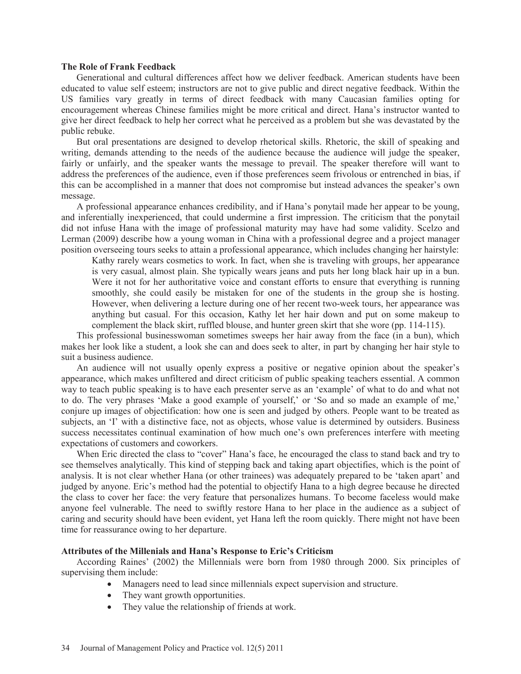#### **The Role of Frank Feedback**

Generational and cultural differences affect how we deliver feedback. American students have been educated to value self esteem; instructors are not to give public and direct negative feedback. Within the US families vary greatly in terms of direct feedback with many Caucasian families opting for encouragement whereas Chinese families might be more critical and direct. Hana's instructor wanted to give her direct feedback to help her correct what he perceived as a problem but she was devastated by the public rebuke.

But oral presentations are designed to develop rhetorical skills. Rhetoric, the skill of speaking and writing, demands attending to the needs of the audience because the audience will judge the speaker, fairly or unfairly, and the speaker wants the message to prevail. The speaker therefore will want to address the preferences of the audience, even if those preferences seem frivolous or entrenched in bias, if this can be accomplished in a manner that does not compromise but instead advances the speaker's own message.

A professional appearance enhances credibility, and if Hana's ponytail made her appear to be young, and inferentially inexperienced, that could undermine a first impression. The criticism that the ponytail did not infuse Hana with the image of professional maturity may have had some validity. Scelzo and Lerman (2009) describe how a young woman in China with a professional degree and a project manager position overseeing tours seeks to attain a professional appearance, which includes changing her hairstyle:

Kathy rarely wears cosmetics to work. In fact, when she is traveling with groups, her appearance is very casual, almost plain. She typically wears jeans and puts her long black hair up in a bun. Were it not for her authoritative voice and constant efforts to ensure that everything is running smoothly, she could easily be mistaken for one of the students in the group she is hosting. However, when delivering a lecture during one of her recent two-week tours, her appearance was anything but casual. For this occasion, Kathy let her hair down and put on some makeup to complement the black skirt, ruffled blouse, and hunter green skirt that she wore (pp. 114-115).

This professional businesswoman sometimes sweeps her hair away from the face (in a bun), which makes her look like a student, a look she can and does seek to alter, in part by changing her hair style to suit a business audience.

An audience will not usually openly express a positive or negative opinion about the speaker's appearance, which makes unfiltered and direct criticism of public speaking teachers essential. A common way to teach public speaking is to have each presenter serve as an 'example' of what to do and what not to do. The very phrases 'Make a good example of yourself,' or 'So and so made an example of me,' conjure up images of objectification: how one is seen and judged by others. People want to be treated as subjects, an 'I' with a distinctive face, not as objects, whose value is determined by outsiders. Business success necessitates continual examination of how much one's own preferences interfere with meeting expectations of customers and coworkers.

When Eric directed the class to "cover" Hana's face, he encouraged the class to stand back and try to see themselves analytically. This kind of stepping back and taking apart objectifies, which is the point of analysis. It is not clear whether Hana (or other trainees) was adequately prepared to be 'taken apart' and judged by anyone. Eric's method had the potential to objectify Hana to a high degree because he directed the class to cover her face: the very feature that personalizes humans. To become faceless would make anyone feel vulnerable. The need to swiftly restore Hana to her place in the audience as a subject of caring and security should have been evident, yet Hana left the room quickly. There might not have been time for reassurance owing to her departure.

### **Attributes of the Millenials and Hana's Response to Eric's Criticism**

According Raines' (2002) the Millennials were born from 1980 through 2000. Six principles of supervising them include:

- Managers need to lead since millennials expect supervision and structure.
- They want growth opportunities.
- They value the relationship of friends at work.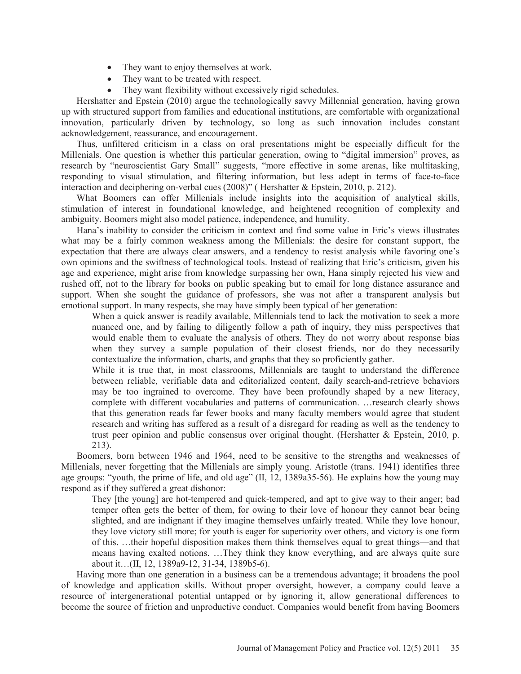- They want to enjoy themselves at work.
- They want to be treated with respect.
- $\bullet$  They want flexibility without excessively rigid schedules.

Hershatter and Epstein (2010) argue the technologically savvy Millennial generation, having grown up with structured support from families and educational institutions, are comfortable with organizational innovation, particularly driven by technology, so long as such innovation includes constant acknowledgement, reassurance, and encouragement.

Thus, unfiltered criticism in a class on oral presentations might be especially difficult for the Millenials. One question is whether this particular generation, owing to "digital immersion" proves, as research by "neuroscientist Gary Small" suggests, "more effective in some arenas, like multitasking, responding to visual stimulation, and filtering information, but less adept in terms of face-to-face interaction and deciphering on-verbal cues (2008)" ( Hershatter & Epstein, 2010, p. 212).

What Boomers can offer Millenials include insights into the acquisition of analytical skills, stimulation of interest in foundational knowledge, and heightened recognition of complexity and ambiguity. Boomers might also model patience, independence, and humility.

Hana's inability to consider the criticism in context and find some value in Eric's views illustrates what may be a fairly common weakness among the Millenials: the desire for constant support, the expectation that there are always clear answers, and a tendency to resist analysis while favoring one's own opinions and the swiftness of technological tools. Instead of realizing that Eric's criticism, given his age and experience, might arise from knowledge surpassing her own, Hana simply rejected his view and rushed off, not to the library for books on public speaking but to email for long distance assurance and support. When she sought the guidance of professors, she was not after a transparent analysis but emotional support. In many respects, she may have simply been typical of her generation:

When a quick answer is readily available, Millennials tend to lack the motivation to seek a more nuanced one, and by failing to diligently follow a path of inquiry, they miss perspectives that would enable them to evaluate the analysis of others. They do not worry about response bias when they survey a sample population of their closest friends, nor do they necessarily contextualize the information, charts, and graphs that they so proficiently gather.

While it is true that, in most classrooms, Millennials are taught to understand the difference between reliable, verifiable data and editorialized content, daily search-and-retrieve behaviors may be too ingrained to overcome. They have been profoundly shaped by a new literacy, complete with different vocabularies and patterns of communication. …research clearly shows that this generation reads far fewer books and many faculty members would agree that student research and writing has suffered as a result of a disregard for reading as well as the tendency to trust peer opinion and public consensus over original thought. (Hershatter  $\&$  Epstein, 2010, p. 213).

Boomers, born between 1946 and 1964, need to be sensitive to the strengths and weaknesses of Millenials, never forgetting that the Millenials are simply young. Aristotle (trans. 1941) identifies three age groups: "youth, the prime of life, and old age" (II, 12, 1389a35-56). He explains how the young may respond as if they suffered a great dishonor:

They [the young] are hot-tempered and quick-tempered, and apt to give way to their anger; bad temper often gets the better of them, for owing to their love of honour they cannot bear being slighted, and are indignant if they imagine themselves unfairly treated. While they love honour, they love victory still more; for youth is eager for superiority over others, and victory is one form of this. …their hopeful disposition makes them think themselves equal to great things—and that means having exalted notions. …They think they know everything, and are always quite sure about it…(II, 12, 1389a9-12, 31-34, 1389b5-6).

Having more than one generation in a business can be a tremendous advantage; it broadens the pool of knowledge and application skills. Without proper oversight, however, a company could leave a resource of intergenerational potential untapped or by ignoring it, allow generational differences to become the source of friction and unproductive conduct. Companies would benefit from having Boomers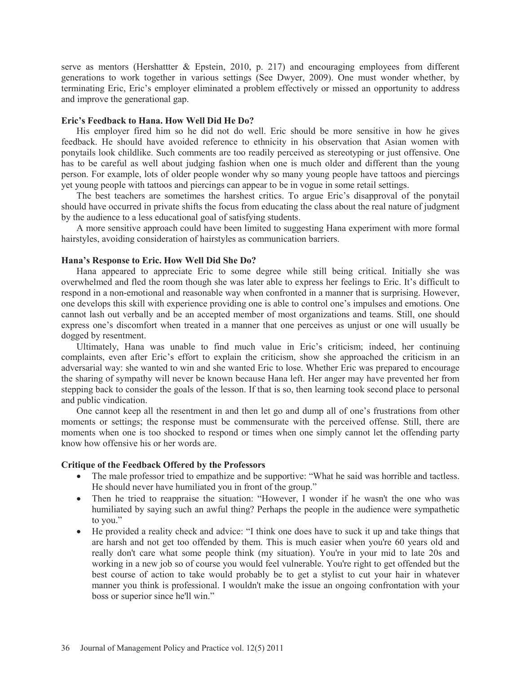serve as mentors (Hershattter  $\&$  Epstein, 2010, p. 217) and encouraging employees from different generations to work together in various settings (See Dwyer, 2009). One must wonder whether, by terminating Eric, Eric's employer eliminated a problem effectively or missed an opportunity to address and improve the generational gap.

#### **Eric's Feedback to Hana. How Well Did He Do?**

His employer fired him so he did not do well. Eric should be more sensitive in how he gives feedback. He should have avoided reference to ethnicity in his observation that Asian women with ponytails look childlike. Such comments are too readily perceived as stereotyping or just offensive. One has to be careful as well about judging fashion when one is much older and different than the young person. For example, lots of older people wonder why so many young people have tattoos and piercings yet young people with tattoos and piercings can appear to be in vogue in some retail settings.

The best teachers are sometimes the harshest critics. To argue Eric's disapproval of the ponytail should have occurred in private shifts the focus from educating the class about the real nature of judgment by the audience to a less educational goal of satisfying students.

A more sensitive approach could have been limited to suggesting Hana experiment with more formal hairstyles, avoiding consideration of hairstyles as communication barriers.

### **Hana's Response to Eric. How Well Did She Do?**

Hana appeared to appreciate Eric to some degree while still being critical. Initially she was overwhelmed and fled the room though she was later able to express her feelings to Eric. It's difficult to respond in a non-emotional and reasonable way when confronted in a manner that is surprising. However, one develops this skill with experience providing one is able to control one's impulses and emotions. One cannot lash out verbally and be an accepted member of most organizations and teams. Still, one should express one's discomfort when treated in a manner that one perceives as unjust or one will usually be dogged by resentment.

Ultimately, Hana was unable to find much value in Eric's criticism; indeed, her continuing complaints, even after Eric's effort to explain the criticism, show she approached the criticism in an adversarial way: she wanted to win and she wanted Eric to lose. Whether Eric was prepared to encourage the sharing of sympathy will never be known because Hana left. Her anger may have prevented her from stepping back to consider the goals of the lesson. If that is so, then learning took second place to personal and public vindication.

One cannot keep all the resentment in and then let go and dump all of one's frustrations from other moments or settings; the response must be commensurate with the perceived offense. Still, there are moments when one is too shocked to respond or times when one simply cannot let the offending party know how offensive his or her words are.

### **Critique of the Feedback Offered by the Professors**

- The male professor tried to empathize and be supportive: "What he said was horrible and tactless. He should never have humiliated you in front of the group."
- Then he tried to reappraise the situation: "However, I wonder if he wasn't the one who was humiliated by saying such an awful thing? Perhaps the people in the audience were sympathetic to you."
- He provided a reality check and advice: "I think one does have to suck it up and take things that are harsh and not get too offended by them. This is much easier when you're 60 years old and really don't care what some people think (my situation). You're in your mid to late 20s and working in a new job so of course you would feel vulnerable. You're right to get offended but the best course of action to take would probably be to get a stylist to cut your hair in whatever manner you think is professional. I wouldn't make the issue an ongoing confrontation with your boss or superior since he'll win."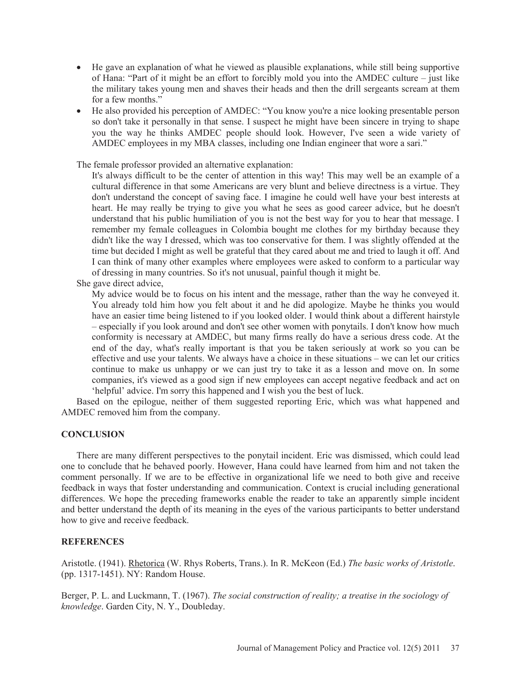- He gave an explanation of what he viewed as plausible explanations, while still being supportive of Hana: "Part of it might be an effort to forcibly mold you into the AMDEC culture – just like the military takes young men and shaves their heads and then the drill sergeants scream at them for a few months."
- He also provided his perception of AMDEC: "You know you're a nice looking presentable person so don't take it personally in that sense. I suspect he might have been sincere in trying to shape you the way he thinks AMDEC people should look. However, I've seen a wide variety of AMDEC employees in my MBA classes, including one Indian engineer that wore a sari."

The female professor provided an alternative explanation:

It's always difficult to be the center of attention in this way! This may well be an example of a cultural difference in that some Americans are very blunt and believe directness is a virtue. They don't understand the concept of saving face. I imagine he could well have your best interests at heart. He may really be trying to give you what he sees as good career advice, but he doesn't understand that his public humiliation of you is not the best way for you to hear that message. I remember my female colleagues in Colombia bought me clothes for my birthday because they didn't like the way I dressed, which was too conservative for them. I was slightly offended at the time but decided I might as well be grateful that they cared about me and tried to laugh it off. And I can think of many other examples where employees were asked to conform to a particular way of dressing in many countries. So it's not unusual, painful though it might be.

She gave direct advice,

My advice would be to focus on his intent and the message, rather than the way he conveyed it. You already told him how you felt about it and he did apologize. Maybe he thinks you would have an easier time being listened to if you looked older. I would think about a different hairstyle – especially if you look around and don't see other women with ponytails. I don't know how much conformity is necessary at AMDEC, but many firms really do have a serious dress code. At the end of the day, what's really important is that you be taken seriously at work so you can be effective and use your talents. We always have a choice in these situations – we can let our critics continue to make us unhappy or we can just try to take it as a lesson and move on. In some companies, it's viewed as a good sign if new employees can accept negative feedback and act on 'helpful' advice. I'm sorry this happened and I wish you the best of luck.

Based on the epilogue, neither of them suggested reporting Eric, which was what happened and AMDEC removed him from the company.

## **CONCLUSION**

There are many different perspectives to the ponytail incident. Eric was dismissed, which could lead one to conclude that he behaved poorly. However, Hana could have learned from him and not taken the comment personally. If we are to be effective in organizational life we need to both give and receive feedback in ways that foster understanding and communication. Context is crucial including generational differences. We hope the preceding frameworks enable the reader to take an apparently simple incident and better understand the depth of its meaning in the eyes of the various participants to better understand how to give and receive feedback.

### **REFERENCES**

Aristotle. (1941). Rhetorica (W. Rhys Roberts, Trans.). In R. McKeon (Ed.) *The basic works of Aristotle*. (pp. 1317-1451). NY: Random House.

Berger, P. L. and Luckmann, T. (1967). *The social construction of reality; a treatise in the sociology of knowledge*. Garden City, N. Y., Doubleday.